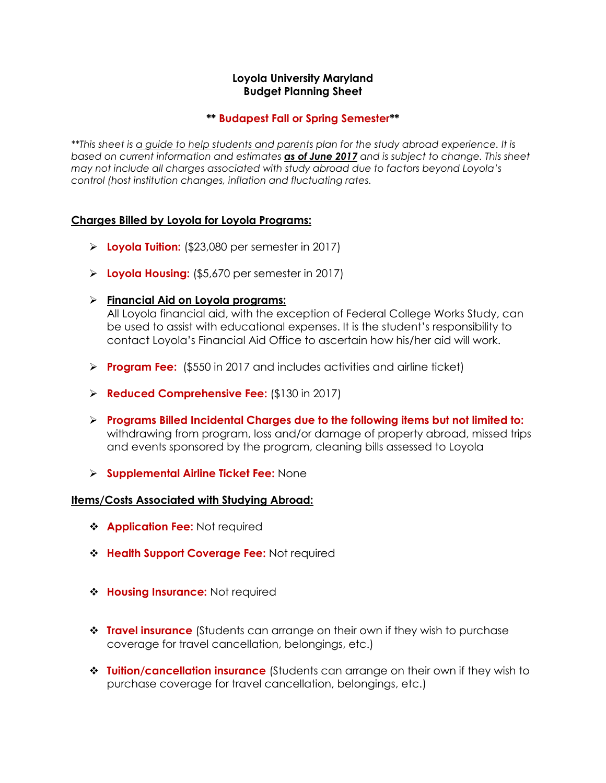# **Loyola University Maryland Budget Planning Sheet**

# **\*\* Budapest Fall or Spring Semester\*\***

*\*\*This sheet is a guide to help students and parents plan for the study abroad experience. It is based on current information and estimates as of June 2017 and is subject to change. This sheet may not include all charges associated with study abroad due to factors beyond Loyola's control (host institution changes, inflation and fluctuating rates.*

# **Charges Billed by Loyola for Loyola Programs:**

- **Loyola Tuition:** (\$23,080 per semester in 2017)
- **Loyola Housing:** (\$5,670 per semester in 2017)
- **Financial Aid on Loyola programs:**

All Loyola financial aid, with the exception of Federal College Works Study, can be used to assist with educational expenses. It is the student's responsibility to contact Loyola's Financial Aid Office to ascertain how his/her aid will work.

- **Program Fee:** (\$550 in 2017 and includes activities and airline ticket)
- **Reduced Comprehensive Fee:** (\$130 in 2017)
- **Programs Billed Incidental Charges due to the following items but not limited to:**  withdrawing from program, loss and/or damage of property abroad, missed trips and events sponsored by the program, cleaning bills assessed to Loyola
- **Supplemental Airline Ticket Fee:** None

#### **Items/Costs Associated with Studying Abroad:**

- **Application Fee: Not required**
- **Health Support Coverage Fee:** Not required
- $\triangleleft$  **Housing Insurance:** Not required
- **Travel insurance** (Students can arrange on their own if they wish to purchase coverage for travel cancellation, belongings, etc.)
- **Tuition/cancellation insurance** (Students can arrange on their own if they wish to purchase coverage for travel cancellation, belongings, etc.)